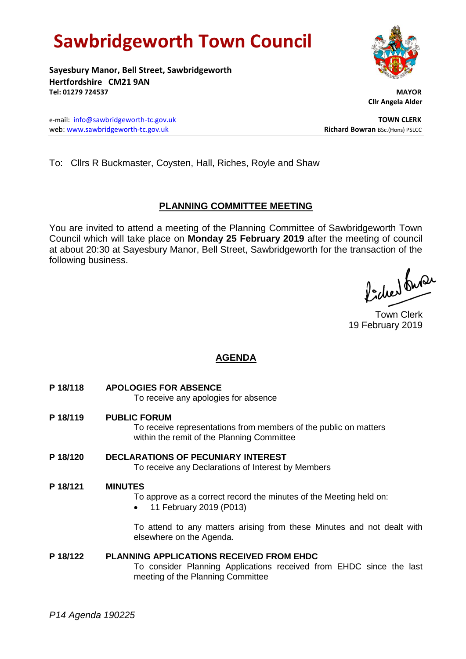# **Sawbridgeworth Town Council**

**Sayesbury Manor, Bell Street, Sawbridgeworth Hertfordshire CM21 9AN Tel: 01279 724537 MAYOR**

 **Cllr Angela Alder**

e-mail: [info@sawbridgeworth-tc.gov.uk](mailto:info@sawbridgeworth-tc.gov.uk) **TOWN CLERK** web: www.sawbridgeworth-tc.gov.uk<br> **Richard Bowran** BSc.(Hons) PSLCC

To: Cllrs R Buckmaster, Coysten, Hall, Riches, Royle and Shaw

### **PLANNING COMMITTEE MEETING**

You are invited to attend a meeting of the Planning Committee of Sawbridgeworth Town Council which will take place on **Monday 25 February 2019** after the meeting of council at about 20:30 at Sayesbury Manor, Bell Street, Sawbridgeworth for the transaction of the following business.

Picked Suran

Town Clerk 19 February 2019

## **AGENDA**

- **P 18/118 APOLOGIES FOR ABSENCE** To receive any apologies for absence
- **P 18/119 PUBLIC FORUM** To receive representations from members of the public on matters within the remit of the Planning Committee
- **P 18/120 DECLARATIONS OF PECUNIARY INTEREST** To receive any Declarations of Interest by Members

#### **P 18/121 MINUTES**

To approve as a correct record the minutes of the Meeting held on:

• 11 February 2019 (P013)

To attend to any matters arising from these Minutes and not dealt with elsewhere on the Agenda.

#### **P 18/122 PLANNING APPLICATIONS RECEIVED FROM EHDC**

To consider Planning Applications received from EHDC since the last meeting of the Planning Committee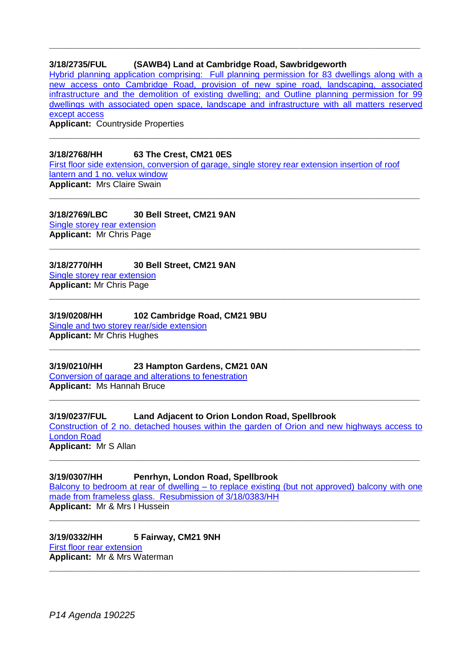#### **3/18/2735/FUL (SAWB4) Land at Cambridge Road, Sawbridgeworth**

[Hybrid planning application comprising: Full planning permission for 83 dwellings along with a](https://publicaccess.eastherts.gov.uk/online-applications/applicationDetails.do?activeTab=documents&keyVal=PJQHW9GLH9700)  [new access onto Cambridge Road, provision of new spine road, landscaping, associated](https://publicaccess.eastherts.gov.uk/online-applications/applicationDetails.do?activeTab=documents&keyVal=PJQHW9GLH9700)  [infrastructure and the demolition of existing dwelling; and Outline planning permission for 99](https://publicaccess.eastherts.gov.uk/online-applications/applicationDetails.do?activeTab=documents&keyVal=PJQHW9GLH9700)  [dwellings with associated open space, landscape and infrastructure with all matters reserved](https://publicaccess.eastherts.gov.uk/online-applications/applicationDetails.do?activeTab=documents&keyVal=PJQHW9GLH9700)  [except access](https://publicaccess.eastherts.gov.uk/online-applications/applicationDetails.do?activeTab=documents&keyVal=PJQHW9GLH9700)

**\_\_\_\_\_\_\_\_\_\_\_\_\_\_\_\_\_\_\_\_\_\_\_\_\_\_\_\_\_\_\_\_\_\_\_\_\_\_\_\_\_\_\_\_\_\_\_\_\_\_\_\_\_\_\_\_\_\_\_\_\_\_\_\_\_\_\_\_\_\_\_**

**\_\_\_\_\_\_\_\_\_\_\_\_\_\_\_\_\_\_\_\_\_\_\_\_\_\_\_\_\_\_\_\_\_\_\_\_\_\_\_\_\_\_\_\_\_\_\_\_\_\_\_\_\_\_\_\_\_\_\_\_\_\_\_\_\_\_\_\_\_\_\_**

**\_\_\_\_\_\_\_\_\_\_\_\_\_\_\_\_\_\_\_\_\_\_\_\_\_\_\_\_\_\_\_\_\_\_\_\_\_\_\_\_\_\_\_\_\_\_\_\_\_\_\_\_\_\_\_\_\_\_\_\_\_\_\_\_\_\_\_\_\_\_\_**

**\_\_\_\_\_\_\_\_\_\_\_\_\_\_\_\_\_\_\_\_\_\_\_\_\_\_\_\_\_\_\_\_\_\_\_\_\_\_\_\_\_\_\_\_\_\_\_\_\_\_\_\_\_\_\_\_\_\_\_\_\_\_\_\_\_\_\_\_\_\_\_**

**Applicant:** Countryside Properties

#### **3/18/2768/HH 63 The Crest, CM21 0ES**

[First floor side extension, conversion of garage, single storey rear extension insertion of roof](https://publicaccess.eastherts.gov.uk/online-applications/applicationDetails.do?activeTab=documents&keyVal=PJZT1WGL05I00)  [lantern and 1 no. velux window](https://publicaccess.eastherts.gov.uk/online-applications/applicationDetails.do?activeTab=documents&keyVal=PJZT1WGL05I00) **Applicant:** Mrs Claire Swain

**3/18/2769/LBC 30 Bell Street, CM21 9AN** [Single storey rear extension](https://publicaccess.eastherts.gov.uk/online-applications/applicationDetails.do?activeTab=documents&keyVal=PJZTGZGL05I00) **Applicant:** Mr Chris Page

**3/18/2770/HH 30 Bell Street, CM21 9AN** [Single storey rear extension](https://publicaccess.eastherts.gov.uk/online-applications/applicationDetails.do?activeTab=documents&keyVal=PJZTOZGL05I00) **Applicant:** Mr Chris Page **\_\_\_\_\_\_\_\_\_\_\_\_\_\_\_\_\_\_\_\_\_\_\_\_\_\_\_\_\_\_\_\_\_\_\_\_\_\_\_\_\_\_\_\_\_\_\_\_\_\_\_\_\_\_\_\_\_\_\_\_\_\_\_\_\_\_\_\_\_\_\_**

**3/19/0208/HH 102 Cambridge Road, CM21 9BU** [Single and two storey rear/side extension](https://publicaccess.eastherts.gov.uk/online-applications/applicationDetails.do?activeTab=documents&keyVal=PMENVRGL00X00) **Applicant:** Mr Chris Hughes

**3/19/0210/HH 23 Hampton Gardens, CM21 0AN** [Conversion of garage and alterations to fenestration](https://publicaccess.eastherts.gov.uk/online-applications/applicationDetails.do?activeTab=documents&keyVal=PMESJ4GLHTU00) **Applicant:** Ms Hannah Bruce

**3/19/0237/FUL Land Adjacent to Orion London Road, Spellbrook** [Construction of 2 no. detached houses within the garden of Orion and new highways access to](https://publicaccess.eastherts.gov.uk/online-applications/applicationDetails.do?activeTab=documents&keyVal=PMHVOBGLHVK00)  [London Road](https://publicaccess.eastherts.gov.uk/online-applications/applicationDetails.do?activeTab=documents&keyVal=PMHVOBGLHVK00) **Applicant:** Mr S Allan

**\_\_\_\_\_\_\_\_\_\_\_\_\_\_\_\_\_\_\_\_\_\_\_\_\_\_\_\_\_\_\_\_\_\_\_\_\_\_\_\_\_\_\_\_\_\_\_\_\_\_\_\_\_\_\_\_\_\_\_\_\_\_\_\_\_\_\_\_\_\_\_**

**\_\_\_\_\_\_\_\_\_\_\_\_\_\_\_\_\_\_\_\_\_\_\_\_\_\_\_\_\_\_\_\_\_\_\_\_\_\_\_\_\_\_\_\_\_\_\_\_\_\_\_\_\_\_\_\_\_\_\_\_\_\_\_\_\_\_\_\_\_\_\_**

**\_\_\_\_\_\_\_\_\_\_\_\_\_\_\_\_\_\_\_\_\_\_\_\_\_\_\_\_\_\_\_\_\_\_\_\_\_\_\_\_\_\_\_\_\_\_\_\_\_\_\_\_\_\_\_\_\_\_\_\_\_\_\_\_\_\_\_\_\_\_\_**

**3/19/0307/HH Penrhyn, London Road, Spellbrook** Balcony to bedroom at rear of dwelling – to replace existing (but not approved) balcony with one made [from frameless glass. Resubmission of 3/18/0383/HH](https://publicaccess.eastherts.gov.uk/online-applications/applicationDetails.do?activeTab=documents&keyVal=PMVBCAGL00X00) **Applicant:** Mr & Mrs I Hussein

**\_\_\_\_\_\_\_\_\_\_\_\_\_\_\_\_\_\_\_\_\_\_\_\_\_\_\_\_\_\_\_\_\_\_\_\_\_\_\_\_\_\_\_\_\_\_\_\_\_\_\_\_\_\_\_\_\_\_\_\_\_\_\_\_\_\_\_\_\_\_\_**

**3/19/0332/HH 5 Fairway, CM21 9NH** [First floor rear extension](https://publicaccess.eastherts.gov.uk/online-applications/applicationDetails.do?activeTab=documents&keyVal=PMYUS6GLI1R00) **Applicant:** Mr & Mrs Waterman **\_\_\_\_\_\_\_\_\_\_\_\_\_\_\_\_\_\_\_\_\_\_\_\_\_\_\_\_\_\_\_\_\_\_\_\_\_\_\_\_\_\_\_\_\_\_\_\_\_\_\_\_\_\_\_\_\_\_\_\_\_\_\_\_\_\_\_\_\_\_\_**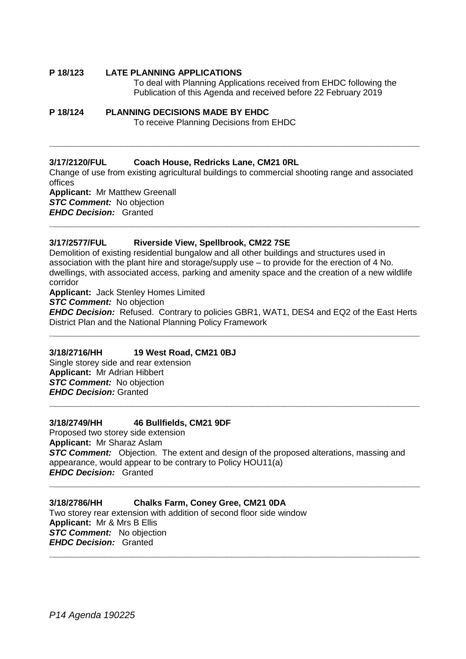#### **P 18/123 LATE PLANNING APPLICATIONS**

To deal with Planning Applications received from EHDC following the Publication of this Agenda and received before 22 February 2019

#### **P 18/124 PLANNING DECISIONS MADE BY EHDC**

To receive Planning Decisions from EHDC

#### **3/17/2120/FUL Coach House, Redricks Lane, CM21 0RL**

Change of use from existing agricultural buildings to commercial shooting range and associated offices **Applicant:** Mr Matthew Greenall *STC Comment:* No objection

**\_\_\_\_\_\_\_\_\_\_\_\_\_\_\_\_\_\_\_\_\_\_\_\_\_\_\_\_\_\_\_\_\_\_\_\_\_\_\_\_\_\_\_\_\_\_\_\_\_\_\_\_\_\_\_\_\_\_\_\_\_\_\_\_\_\_\_\_\_\_\_**

*EHDC Decision:* Granted

# **\_\_\_\_\_\_\_\_\_\_\_\_\_\_\_\_\_\_\_\_\_\_\_\_\_\_\_\_\_\_\_\_\_\_\_\_\_\_\_\_\_\_\_\_\_\_\_\_\_\_\_\_\_\_\_\_\_\_\_\_\_\_\_\_\_\_\_\_\_\_\_**

#### **3/17/2577/FUL Riverside View, Spellbrook, CM22 7SE**

Demolition of existing residential bungalow and all other buildings and structures used in association with the plant hire and storage/supply use – to provide for the erection of 4 No. dwellings, with associated access, parking and amenity space and the creation of a new wildlife corridor

**Applicant:** Jack Stenley Homes Limited

**STC Comment:** No objection

*EHDC Decision:* Refused. Contrary to policies GBR1, WAT1, DES4 and EQ2 of the East Herts District Plan and the National Planning Policy Framework **\_\_\_\_\_\_\_\_\_\_\_\_\_\_\_\_\_\_\_\_\_\_\_\_\_\_\_\_\_\_\_\_\_\_\_\_\_\_\_\_\_\_\_\_\_\_\_\_\_\_\_\_\_\_\_\_\_\_\_\_\_\_\_\_\_\_\_\_\_\_\_**

#### **3/18/2716/HH 19 West Road, CM21 0BJ**

Single storey side and rear extension **Applicant:** Mr Adrian Hibbert **STC Comment:** No objection *EHDC Decision:* Granted

#### **3/18/2749/HH 46 Bullfields, CM21 9DF**

Proposed two storey side extension **Applicant:** Mr Sharaz Aslam **STC Comment:** Objection. The extent and design of the proposed alterations, massing and appearance, would appear to be contrary to Policy HOU11(a) *EHDC Decision:* Granted

**\_\_\_\_\_\_\_\_\_\_\_\_\_\_\_\_\_\_\_\_\_\_\_\_\_\_\_\_\_\_\_\_\_\_\_\_\_\_\_\_\_\_\_\_\_\_\_\_\_\_\_\_\_\_\_\_\_\_\_\_\_\_\_\_\_\_\_\_\_\_\_**

**\_\_\_\_\_\_\_\_\_\_\_\_\_\_\_\_\_\_\_\_\_\_\_\_\_\_\_\_\_\_\_\_\_\_\_\_\_\_\_\_\_\_\_\_\_\_\_\_\_\_\_\_\_\_\_\_\_\_\_\_\_\_\_\_\_\_\_\_\_\_\_**

**\_\_\_\_\_\_\_\_\_\_\_\_\_\_\_\_\_\_\_\_\_\_\_\_\_\_\_\_\_\_\_\_\_\_\_\_\_\_\_\_\_\_\_\_\_\_\_\_\_\_\_\_\_\_\_\_\_\_\_\_\_\_\_\_\_\_\_\_\_\_\_**

#### **3/18/2786/HH Chalks Farm, Coney Gree, CM21 0DA**

Two storey rear extension with addition of second floor side window **Applicant:** Mr & Mrs B Ellis *STC Comment:* No objection *EHDC Decision:* Granted